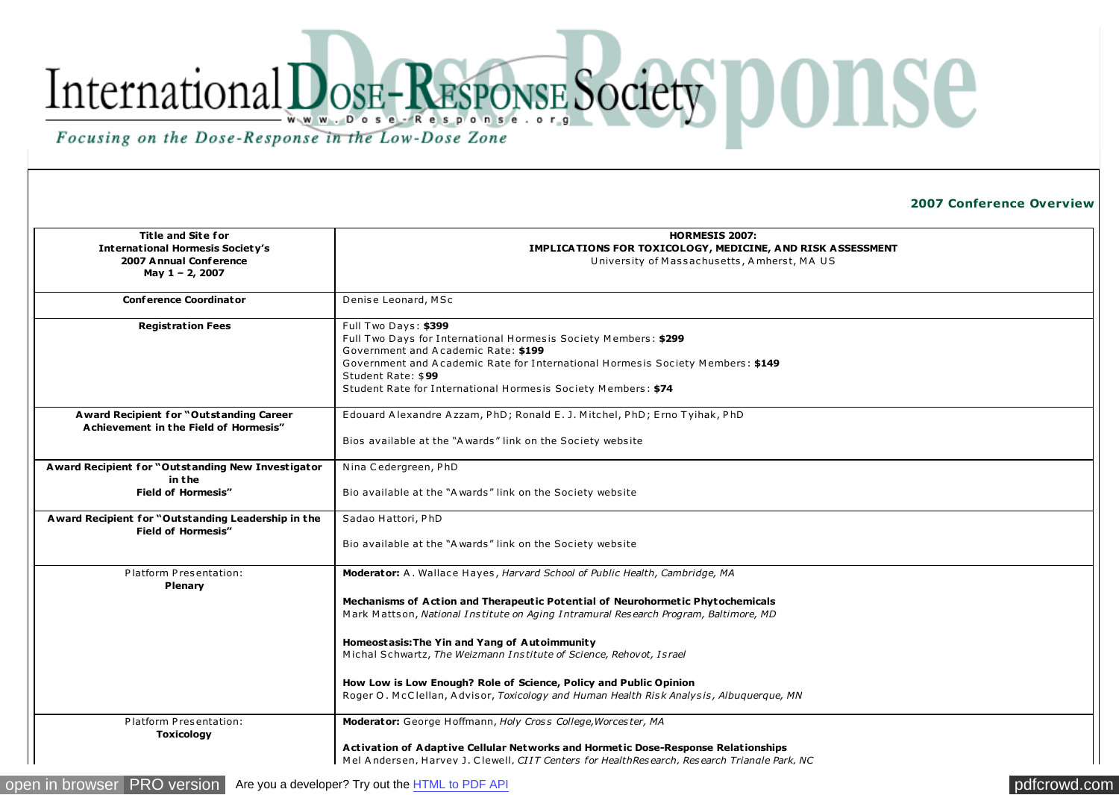## International DOSE-RESPONSE Society DONSE Focusing on the Dose-Response in the Low-Dose Zone

**2007 Conference Overview** 

| <b>Title and Site for</b><br><b>International Hormesis Society's</b>              | <b>HORMESIS 2007:</b><br>IMPLICATIONS FOR TOXICOLOGY, MEDICINE, AND RISK ASSESSMENT                                                                                               |
|-----------------------------------------------------------------------------------|-----------------------------------------------------------------------------------------------------------------------------------------------------------------------------------|
| 2007 Annual Conference<br>May 1 - 2, 2007                                         | University of Massachusetts, Amherst, MA US                                                                                                                                       |
| <b>Conference Coordinator</b>                                                     | Denise Leonard, MSc                                                                                                                                                               |
| <b>Registration Fees</b>                                                          | Full Two Days: \$399<br>Full Two Days for International Hormesis Society Members: \$299<br>Government and Academic Rate: \$199                                                    |
|                                                                                   | Government and Academic Rate for International Hormesis Society Members: \$149<br>Student Rate: \$99<br>Student Rate for International Hormesis Society Members: \$74             |
|                                                                                   |                                                                                                                                                                                   |
| A ward Recipient for "Outstanding Career<br>Achievement in the Field of Hormesis" | Edouard Alexandre Azzam, PhD; Ronald E. J. Mitchel, PhD; Erno Tyihak, PhD                                                                                                         |
|                                                                                   | Bios available at the "Awards" link on the Society website                                                                                                                        |
| Award Recipient for "Outstanding New Investigator<br>in the                       | Nina Cedergreen, PhD                                                                                                                                                              |
| <b>Field of Hormesis"</b>                                                         | Bio available at the "A wards" link on the Society website                                                                                                                        |
| A ward Recipient for "Outstanding Leadership in the<br><b>Field of Hormesis"</b>  | Sadao Hattori, PhD                                                                                                                                                                |
|                                                                                   | Bio available at the "A wards" link on the Society website                                                                                                                        |
| Platform Presentation:<br>Plenary                                                 | Moderator: A. Wallace Hayes, Harvard School of Public Health, Cambridge, MA                                                                                                       |
|                                                                                   | Mechanisms of Action and Therapeutic Potential of Neurohormetic Phytochemicals<br>Mark Mattson, National Institute on Aging Intramural Research Program, Baltimore, MD            |
|                                                                                   | Homeostasis: The Yin and Yang of Autoimmunity<br>Michal Schwartz, The Weizmann Institute of Science, Rehovot, Israel                                                              |
|                                                                                   | How Low is Low Enough? Role of Science, Policy and Public Opinion<br>Roger O. McClellan, Advisor, Toxicology and Human Health Risk Analysis, Albuquerque, MN                      |
| Platform Presentation:<br><b>Toxicology</b>                                       | Moderator: George Hoffmann, Holy Cross College, Worcester, MA                                                                                                                     |
|                                                                                   | Activation of Adaptive Cellular Networks and Hormetic Dose-Response Relationships<br>Mel Andersen, Harvev J. Clewell, CIIT Centers for HealthResearch, Research Triangle Park, NC |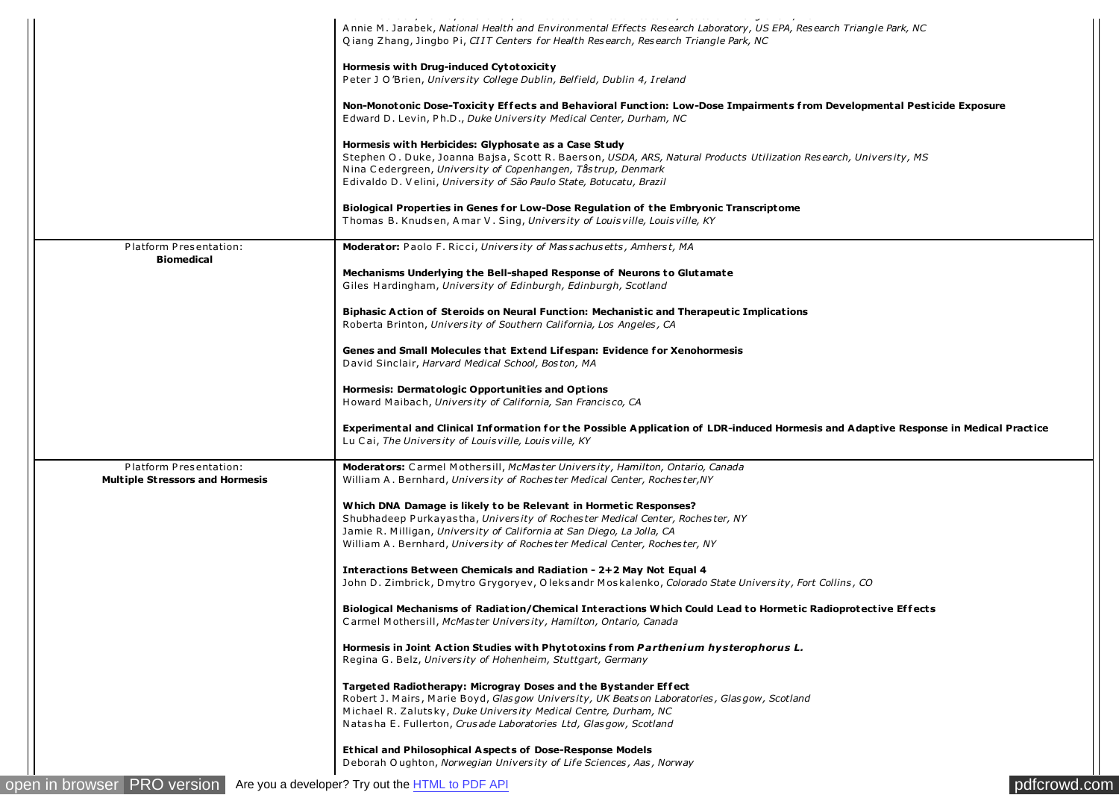|                                             | Annie M. Jarabek, National Health and Environmental Effects Research Laboratory, US EPA, Research Triangle Park, NC<br>Qiang Zhang, Jingbo Pi, CIIT Centers for Health Research, Research Triangle Park, NC |
|---------------------------------------------|-------------------------------------------------------------------------------------------------------------------------------------------------------------------------------------------------------------|
|                                             |                                                                                                                                                                                                             |
|                                             | Hormesis with Drug-induced Cytotoxicity<br>Peter J O'Brien, University College Dublin, Belfield, Dublin 4, Ireland                                                                                          |
|                                             | Non-Monotonic Dose-Toxicity Effects and Behavioral Function: Low-Dose Impairments from Developmental Pesticide Exposure                                                                                     |
|                                             | Edward D. Levin, Ph.D., Duke University Medical Center, Durham, NC                                                                                                                                          |
|                                             | Hormesis with Herbicides: Glyphosate as a Case Study                                                                                                                                                        |
|                                             | Stephen O. Duke, Joanna Bajsa, Scott R. Baerson, USDA, ARS, Natural Products Utilization Research, University, MS                                                                                           |
|                                             | Nina Cedergreen, University of Copenhangen, Tåstrup, Denmark<br>Edivaldo D. Velini, University of São Paulo State, Botucatu, Brazil                                                                         |
|                                             | Biological Properties in Genes for Low-Dose Regulation of the Embryonic Transcriptome                                                                                                                       |
|                                             | Thomas B. Knudsen, Amar V. Sing, University of Louisville, Louisville, KY                                                                                                                                   |
| Platform Presentation:<br><b>Biomedical</b> | <b>Moderator:</b> Paolo F. Ricci, University of Massachusetts, Amherst, MA                                                                                                                                  |
|                                             | Mechanisms Underlying the Bell-shaped Response of Neurons to Glutamate<br>Giles Hardingham, University of Edinburgh, Edinburgh, Scotland                                                                    |
|                                             |                                                                                                                                                                                                             |
|                                             | Biphasic Action of Steroids on Neural Function: Mechanistic and Therapeutic Implications<br>Roberta Brinton, University of Southern California, Los Angeles, CA                                             |
|                                             | Genes and Small Molecules that Extend Lifespan: Evidence for Xenohormesis                                                                                                                                   |
|                                             | David Sinclair, Harvard Medical School, Boston, MA                                                                                                                                                          |
|                                             | Hormesis: Dermatologic Opportunities and Options                                                                                                                                                            |
|                                             | Howard Maibach, University of California, San Francisco, CA                                                                                                                                                 |
|                                             | Experimental and Clinical Information for the Possible Application of LDR-induced Hormesis and Adaptive Response in Medical Practice<br>Lu Cai, The University of Louisville, Louisville, KY                |
| Platform Presentation:                      | Moderators: Carmel Mothersill, McMaster University, Hamilton, Ontario, Canada                                                                                                                               |
| <b>Multiple Stressors and Hormesis</b>      | William A. Bernhard, University of Rochester Medical Center, Rochester, NY                                                                                                                                  |
|                                             | Which DNA Damage is likely to be Relevant in Hormetic Responses?                                                                                                                                            |
|                                             | Shubhadeep Purkayastha, University of Rochester Medical Center, Rochester, NY                                                                                                                               |
|                                             | Jamie R. Milligan, University of California at San Diego, La Jolla, CA<br>William A. Bernhard, University of Rochester Medical Center, Rochester, NY                                                        |
|                                             | Interactions Between Chemicals and Radiation - 2+2 May Not Equal 4                                                                                                                                          |
|                                             | John D. Zimbrick, Dmytro Grygoryev, Oleksandr Moskalenko, Colorado State University, Fort Collins, CO                                                                                                       |
|                                             | Biological Mechanisms of Radiation/Chemical Interactions Which Could Lead to Hormetic Radioprotective Effects                                                                                               |
|                                             | Carmel Mothersill, McMaster University, Hamilton, Ontario, Canada                                                                                                                                           |
|                                             | Hormesis in Joint Action Studies with Phytotoxins from Parthenium hysterophorus L.                                                                                                                          |
|                                             | Regina G. Belz, University of Hohenheim, Stuttgart, Germany                                                                                                                                                 |
|                                             | Targeted Radiotherapy: Microgray Doses and the Bystander Effect                                                                                                                                             |
|                                             | Robert J. Mairs, Marie Boyd, Glasgow University, UK Beatson Laboratories, Glasgow, Scotland<br>Michael R. Zalutsky, Duke University Medical Centre, Durham, NC                                              |
|                                             | Natasha E. Fullerton, Crusade Laboratories Ltd, Glasgow, Scotland                                                                                                                                           |
|                                             | <b>Ethical and Philosophical Aspects of Dose-Response Models</b>                                                                                                                                            |
|                                             | Deborah Oughton, Norwegian University of Life Sciences, Aas, Norway                                                                                                                                         |
| <b>PRO</b> version<br>en in browser         | Are you a developer? Try out the HTML to PDF API<br>pdfcrowd.com                                                                                                                                            |